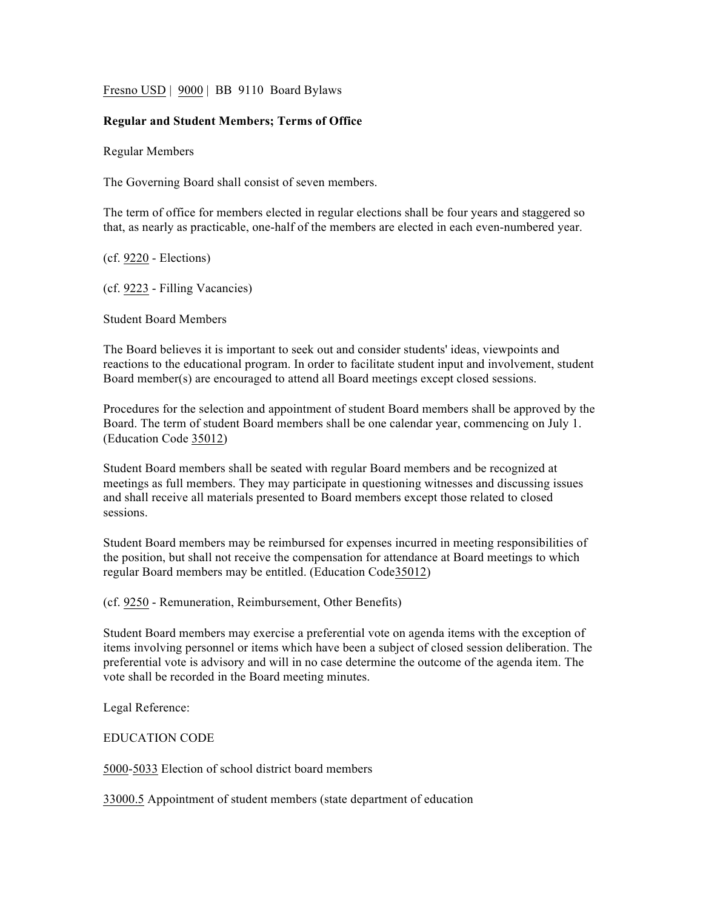Fresno USD | 9000 | BB 9110 Board Bylaws

## **Regular and Student Members; Terms of Office**

Regular Members

The Governing Board shall consist of seven members.

The term of office for members elected in regular elections shall be four years and staggered so that, as nearly as practicable, one-half of the members are elected in each even-numbered year.

(cf. 9220 - Elections)

(cf. 9223 - Filling Vacancies)

Student Board Members

The Board believes it is important to seek out and consider students' ideas, viewpoints and reactions to the educational program. In order to facilitate student input and involvement, student Board member(s) are encouraged to attend all Board meetings except closed sessions.

Procedures for the selection and appointment of student Board members shall be approved by the Board. The term of student Board members shall be one calendar year, commencing on July 1. (Education Code 35012)

Student Board members shall be seated with regular Board members and be recognized at meetings as full members. They may participate in questioning witnesses and discussing issues and shall receive all materials presented to Board members except those related to closed sessions.

Student Board members may be reimbursed for expenses incurred in meeting responsibilities of the position, but shall not receive the compensation for attendance at Board meetings to which regular Board members may be entitled. (Education Code35012)

(cf. 9250 - Remuneration, Reimbursement, Other Benefits)

Student Board members may exercise a preferential vote on agenda items with the exception of items involving personnel or items which have been a subject of closed session deliberation. The preferential vote is advisory and will in no case determine the outcome of the agenda item. The vote shall be recorded in the Board meeting minutes.

Legal Reference:

EDUCATION CODE

5000-5033 Election of school district board members

33000.5 Appointment of student members (state department of education